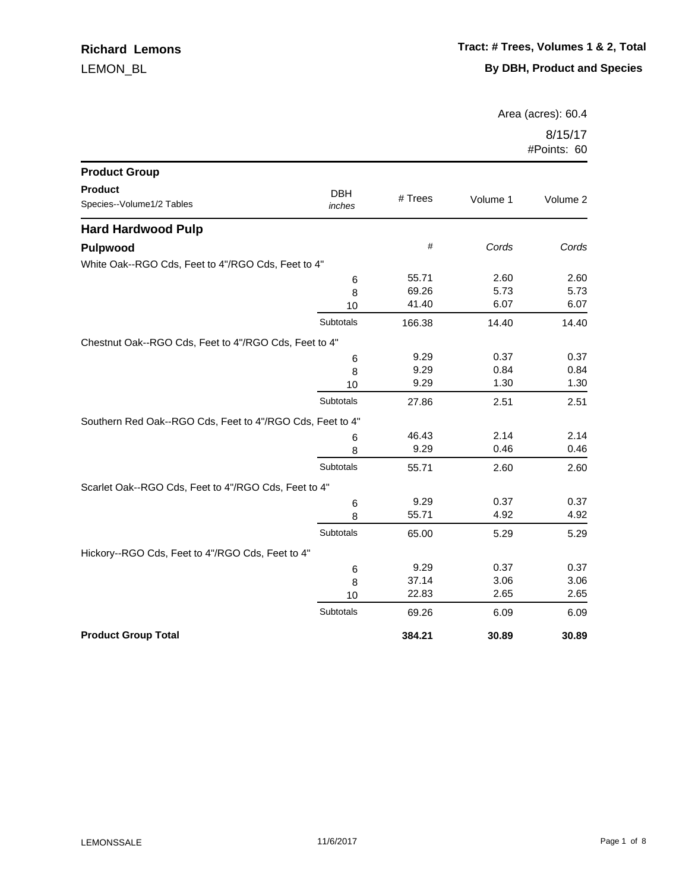| <b>Product Group</b>                                      |                      |         |          |          |
|-----------------------------------------------------------|----------------------|---------|----------|----------|
| <b>Product</b><br>Species--Volume1/2 Tables               | <b>DBH</b><br>inches | # Trees | Volume 1 | Volume 2 |
| <b>Hard Hardwood Pulp</b>                                 |                      |         |          |          |
| <b>Pulpwood</b>                                           |                      | $\#$    | Cords    | Cords    |
| White Oak--RGO Cds, Feet to 4"/RGO Cds, Feet to 4"        |                      |         |          |          |
|                                                           | $\,6$                | 55.71   | 2.60     | 2.60     |
|                                                           | 8                    | 69.26   | 5.73     | 5.73     |
|                                                           | 10                   | 41.40   | 6.07     | 6.07     |
|                                                           | Subtotals            | 166.38  | 14.40    | 14.40    |
| Chestnut Oak--RGO Cds, Feet to 4"/RGO Cds, Feet to 4"     |                      |         |          |          |
|                                                           | 6                    | 9.29    | 0.37     | 0.37     |
|                                                           | 8                    | 9.29    | 0.84     | 0.84     |
|                                                           | 10                   | 9.29    | 1.30     | 1.30     |
|                                                           | Subtotals            | 27.86   | 2.51     | 2.51     |
| Southern Red Oak--RGO Cds, Feet to 4"/RGO Cds, Feet to 4" |                      |         |          |          |
|                                                           | 6                    | 46.43   | 2.14     | 2.14     |
|                                                           | 8                    | 9.29    | 0.46     | 0.46     |
|                                                           | Subtotals            | 55.71   | 2.60     | 2.60     |
| Scarlet Oak--RGO Cds, Feet to 4"/RGO Cds, Feet to 4"      |                      |         |          |          |
|                                                           | 6                    | 9.29    | 0.37     | 0.37     |
|                                                           | 8                    | 55.71   | 4.92     | 4.92     |
|                                                           | Subtotals            | 65.00   | 5.29     | 5.29     |
| Hickory--RGO Cds, Feet to 4"/RGO Cds, Feet to 4"          |                      |         |          |          |
|                                                           | $\,6$                | 9.29    | 0.37     | 0.37     |
|                                                           | 8                    | 37.14   | 3.06     | 3.06     |
|                                                           | 10                   | 22.83   | 2.65     | 2.65     |
|                                                           | Subtotals            | 69.26   | 6.09     | 6.09     |
| <b>Product Group Total</b>                                |                      | 384.21  | 30.89    | 30.89    |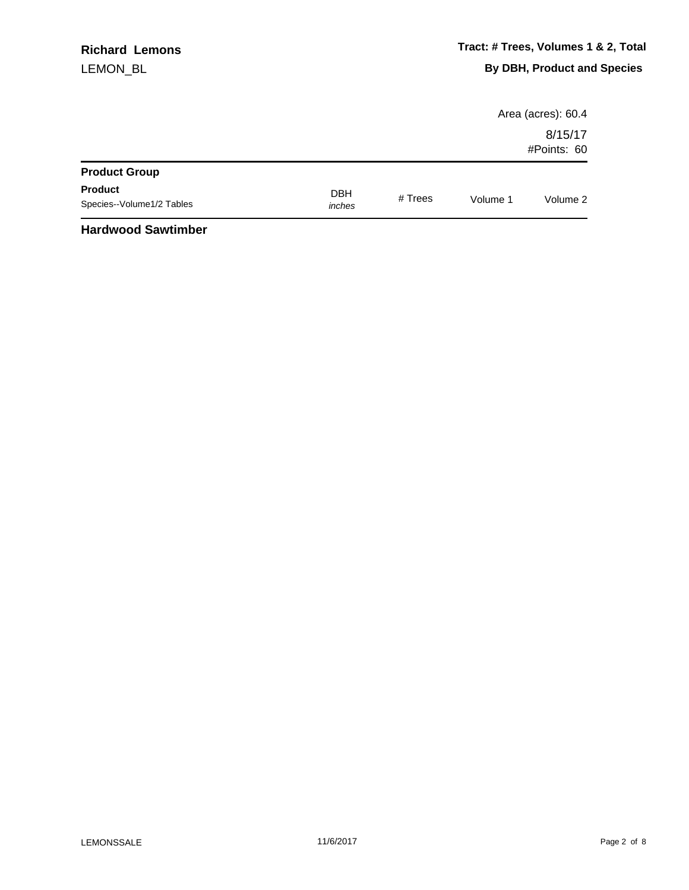|                                             |                      |         |          | Area (acres): 60.4     |
|---------------------------------------------|----------------------|---------|----------|------------------------|
|                                             |                      |         |          | 8/15/17<br>#Points: 60 |
| <b>Product Group</b>                        |                      |         |          |                        |
| <b>Product</b><br>Species--Volume1/2 Tables | <b>DBH</b><br>inches | # Trees | Volume 1 | Volume 2               |
| .                                           |                      |         |          |                        |

## **Hardwood Sawtimber**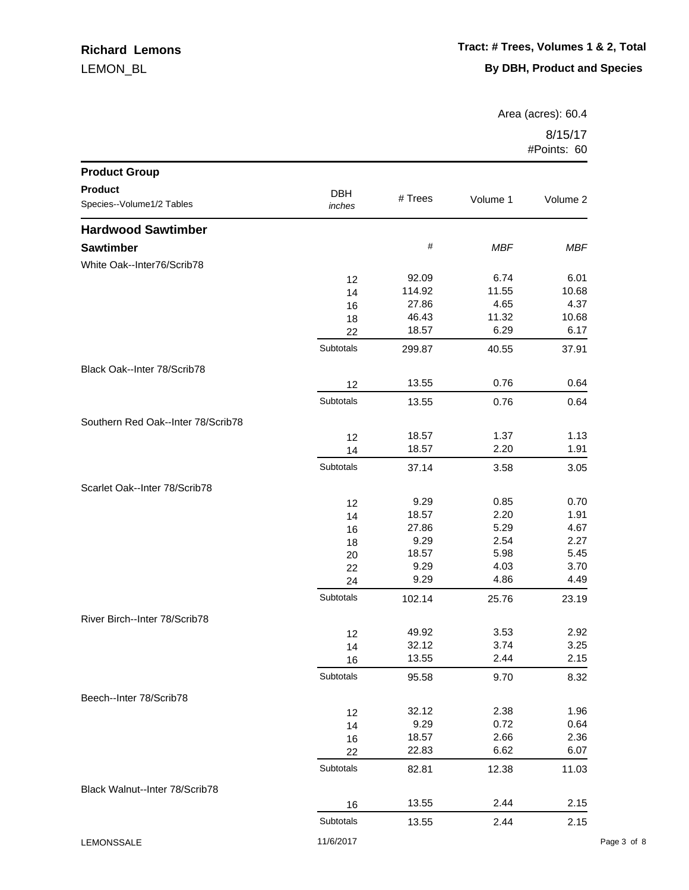| <b>Product Group</b>               |            |         |            |            |
|------------------------------------|------------|---------|------------|------------|
| <b>Product</b>                     | <b>DBH</b> |         |            |            |
| Species--Volume1/2 Tables          | inches     | # Trees | Volume 1   | Volume 2   |
| <b>Hardwood Sawtimber</b>          |            |         |            |            |
| <b>Sawtimber</b>                   |            | $\#$    | <b>MBF</b> | <b>MBF</b> |
| White Oak--Inter76/Scrib78         |            |         |            |            |
|                                    | 12         | 92.09   | 6.74       | 6.01       |
|                                    | 14         | 114.92  | 11.55      | 10.68      |
|                                    | 16         | 27.86   | 4.65       | 4.37       |
|                                    | 18         | 46.43   | 11.32      | 10.68      |
|                                    | 22         | 18.57   | 6.29       | 6.17       |
|                                    | Subtotals  | 299.87  | 40.55      | 37.91      |
| Black Oak--Inter 78/Scrib78        |            |         |            |            |
|                                    | 12         | 13.55   | 0.76       | 0.64       |
|                                    | Subtotals  | 13.55   | 0.76       | 0.64       |
| Southern Red Oak--Inter 78/Scrib78 |            |         |            |            |
|                                    | 12         | 18.57   | 1.37       | 1.13       |
|                                    | 14         | 18.57   | 2.20       | 1.91       |
|                                    | Subtotals  | 37.14   | 3.58       | 3.05       |
| Scarlet Oak--Inter 78/Scrib78      |            |         |            |            |
|                                    | 12         | 9.29    | 0.85       | 0.70       |
|                                    | 14         | 18.57   | 2.20       | 1.91       |
|                                    | 16         | 27.86   | 5.29       | 4.67       |
|                                    | 18         | 9.29    | 2.54       | 2.27       |
|                                    | 20         | 18.57   | 5.98       | 5.45       |
|                                    | 22         | 9.29    | 4.03       | 3.70       |
|                                    | 24         | 9.29    | 4.86       | 4.49       |
|                                    | Subtotals  | 102.14  | 25.76      | 23.19      |
| River Birch--Inter 78/Scrib78      |            |         |            |            |
|                                    | 12         | 49.92   | 3.53       | 2.92       |
|                                    | 14         | 32.12   | 3.74       | 3.25       |
|                                    | 16         | 13.55   | 2.44       | 2.15       |
|                                    | Subtotals  | 95.58   | 9.70       | 8.32       |
| Beech--Inter 78/Scrib78            |            |         |            |            |
|                                    | 12         | 32.12   | 2.38       | 1.96       |
|                                    | 14         | 9.29    | 0.72       | 0.64       |
|                                    | 16         | 18.57   | 2.66       | 2.36       |
|                                    | 22         | 22.83   | 6.62       | 6.07       |
|                                    | Subtotals  | 82.81   | 12.38      | 11.03      |
| Black Walnut--Inter 78/Scrib78     |            |         |            |            |
|                                    | 16         | 13.55   | 2.44       | 2.15       |
|                                    | Subtotals  | 13.55   | 2.44       | 2.15       |
| LEMONSSALE                         | 11/6/2017  |         |            |            |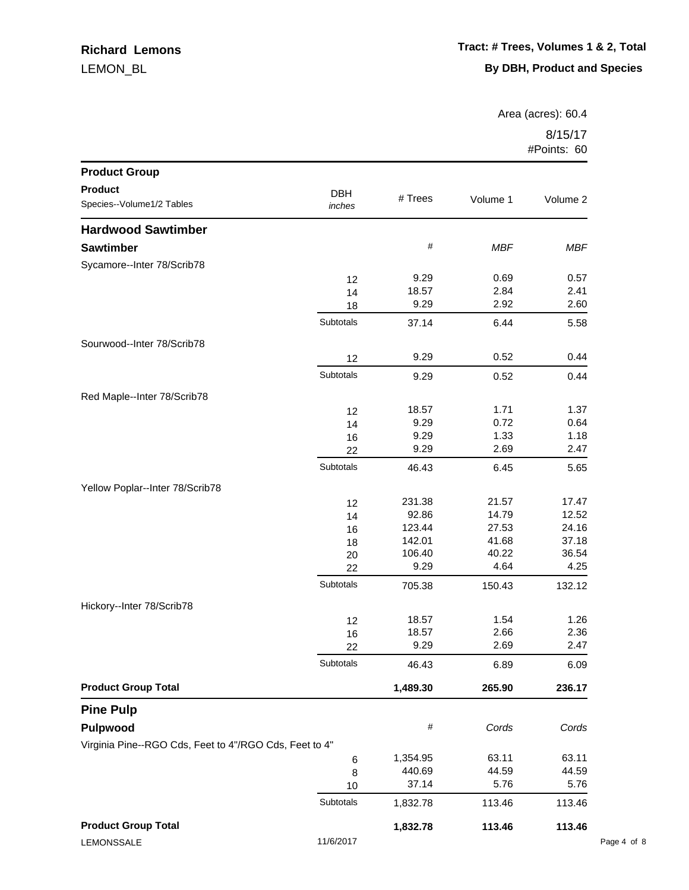| <b>Product Group</b>                                   |            |               |              |              |
|--------------------------------------------------------|------------|---------------|--------------|--------------|
| <b>Product</b>                                         | <b>DBH</b> |               |              |              |
| Species--Volume1/2 Tables                              | inches     | # Trees       | Volume 1     | Volume 2     |
| <b>Hardwood Sawtimber</b>                              |            |               |              |              |
| <b>Sawtimber</b>                                       |            | #             | <b>MBF</b>   | MBF          |
|                                                        |            |               |              |              |
| Sycamore--Inter 78/Scrib78                             |            |               | 0.69         | 0.57         |
|                                                        | 12         | 9.29<br>18.57 | 2.84         | 2.41         |
|                                                        | 14         | 9.29          | 2.92         | 2.60         |
|                                                        | 18         |               |              |              |
|                                                        | Subtotals  | 37.14         | 6.44         | 5.58         |
| Sourwood--Inter 78/Scrib78                             |            |               |              |              |
|                                                        | 12         | 9.29          | 0.52         | 0.44         |
|                                                        | Subtotals  |               |              |              |
|                                                        |            | 9.29          | 0.52         | 0.44         |
| Red Maple--Inter 78/Scrib78                            |            |               |              |              |
|                                                        | 12         | 18.57         | 1.71         | 1.37         |
|                                                        | 14         | 9.29          | 0.72         | 0.64         |
|                                                        | 16         | 9.29          | 1.33         | 1.18         |
|                                                        | 22         | 9.29          | 2.69         | 2.47         |
|                                                        | Subtotals  | 46.43         | 6.45         | 5.65         |
|                                                        |            |               |              |              |
| Yellow Poplar--Inter 78/Scrib78                        |            |               |              |              |
|                                                        | 12         | 231.38        | 21.57        | 17.47        |
|                                                        | 14         | 92.86         | 14.79        | 12.52        |
|                                                        | 16         | 123.44        | 27.53        | 24.16        |
|                                                        | 18         | 142.01        | 41.68        | 37.18        |
|                                                        | 20         | 106.40        | 40.22        | 36.54        |
|                                                        | 22         | 9.29          | 4.64         | 4.25         |
|                                                        | Subtotals  | 705.38        | 150.43       | 132.12       |
|                                                        |            |               |              |              |
| Hickory--Inter 78/Scrib78                              |            |               |              |              |
|                                                        | 12         | 18.57         | 1.54         | 1.26         |
|                                                        | 16         | 18.57<br>9.29 | 2.66<br>2.69 | 2.36<br>2.47 |
|                                                        | 22         |               |              |              |
|                                                        | Subtotals  | 46.43         | 6.89         | 6.09         |
| <b>Product Group Total</b>                             |            | 1,489.30      | 265.90       | 236.17       |
| <b>Pine Pulp</b>                                       |            |               |              |              |
| Pulpwood                                               |            | $\#$          | Cords        | Cords        |
| Virginia Pine--RGO Cds, Feet to 4"/RGO Cds, Feet to 4" |            |               |              |              |
|                                                        |            | 1,354.95      | 63.11        | 63.11        |
|                                                        | 6<br>8     | 440.69        | 44.59        | 44.59        |
|                                                        |            | 37.14         | 5.76         | 5.76         |
|                                                        | 10         |               |              |              |
|                                                        | Subtotals  | 1,832.78      | 113.46       | 113.46       |
| <b>Product Group Total</b>                             |            | 1,832.78      | 113.46       | 113.46       |
| LEMONSSALE                                             | 11/6/2017  |               |              | Page 4 of 8  |
|                                                        |            |               |              |              |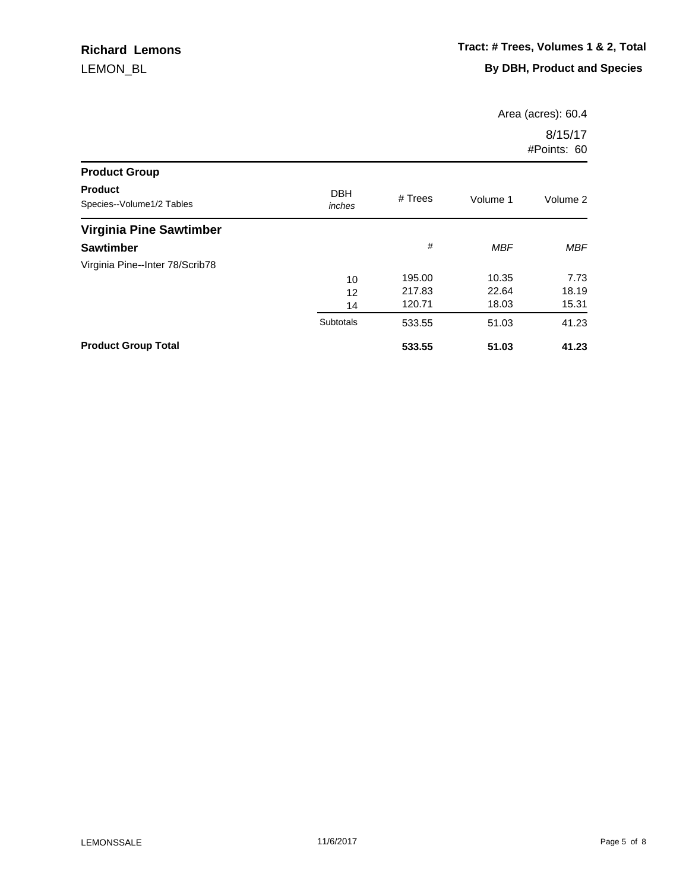| <b>Product Group</b>                        |                      |           |            |            |
|---------------------------------------------|----------------------|-----------|------------|------------|
| <b>Product</b><br>Species--Volume1/2 Tables | <b>DBH</b><br>inches | $#$ Trees | Volume 1   | Volume 2   |
| Virginia Pine Sawtimber                     |                      |           |            |            |
| <b>Sawtimber</b>                            |                      | #         | <b>MBF</b> | <b>MBF</b> |
| Virginia Pine--Inter 78/Scrib78             |                      |           |            |            |
|                                             | 10                   | 195.00    | 10.35      | 7.73       |
|                                             | 12                   | 217.83    | 22.64      | 18.19      |
|                                             | 14                   | 120.71    | 18.03      | 15.31      |
|                                             | <b>Subtotals</b>     | 533.55    | 51.03      | 41.23      |
| <b>Product Group Total</b>                  |                      | 533.55    | 51.03      | 41.23      |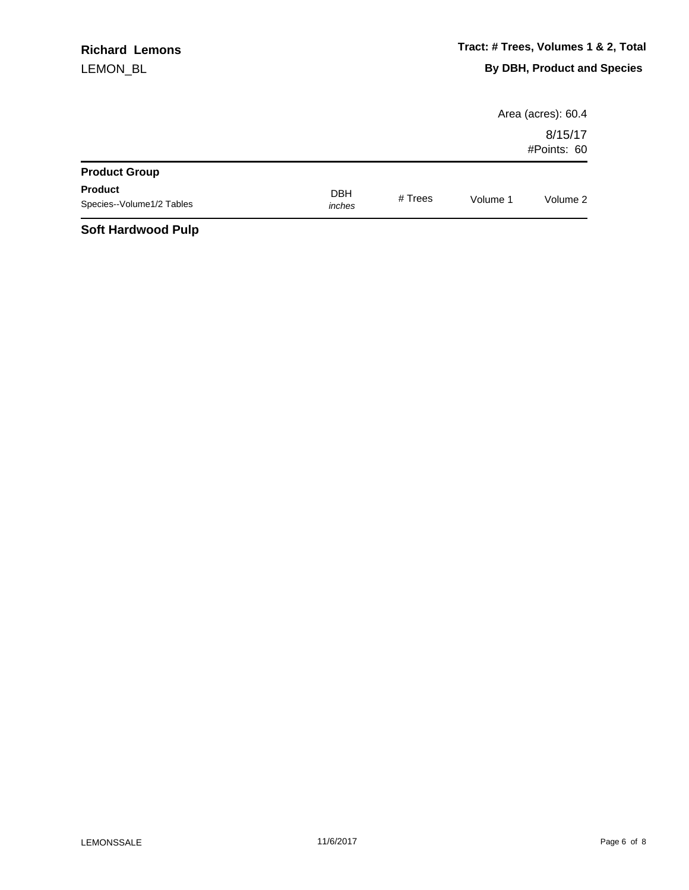|                                             |                      |           |          | Area (acres): 60.4     |
|---------------------------------------------|----------------------|-----------|----------|------------------------|
|                                             |                      |           |          | 8/15/17<br>#Points: 60 |
| <b>Product Group</b>                        |                      |           |          |                        |
| <b>Product</b><br>Species--Volume1/2 Tables | <b>DBH</b><br>inches | # $Trees$ | Volume 1 | Volume 2               |
| .                                           |                      |           |          |                        |

## **Soft Hardwood Pulp**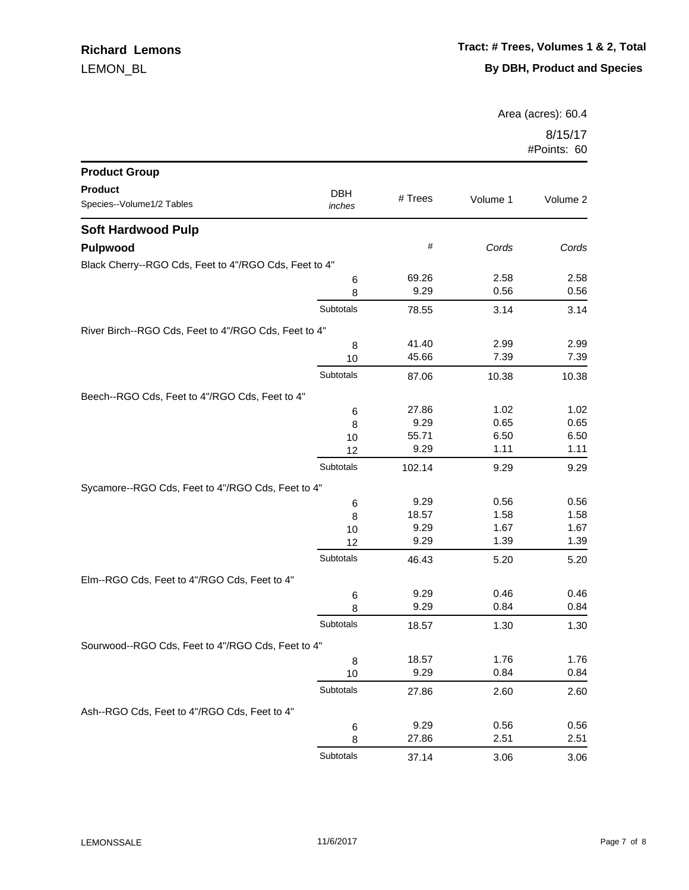| <b>Product Group</b>                                  |            |         |          |          |
|-------------------------------------------------------|------------|---------|----------|----------|
| <b>Product</b>                                        | <b>DBH</b> |         |          |          |
| Species--Volume1/2 Tables                             | inches     | # Trees | Volume 1 | Volume 2 |
| <b>Soft Hardwood Pulp</b>                             |            |         |          |          |
| Pulpwood                                              |            | $\#$    | Cords    | Cords    |
| Black Cherry--RGO Cds, Feet to 4"/RGO Cds, Feet to 4" |            |         |          |          |
|                                                       | 6          | 69.26   | 2.58     | 2.58     |
|                                                       | 8          | 9.29    | 0.56     | 0.56     |
|                                                       | Subtotals  | 78.55   | 3.14     | 3.14     |
| River Birch--RGO Cds, Feet to 4"/RGO Cds, Feet to 4"  |            |         |          |          |
|                                                       | 8          | 41.40   | 2.99     | 2.99     |
|                                                       | 10         | 45.66   | 7.39     | 7.39     |
|                                                       | Subtotals  | 87.06   | 10.38    | 10.38    |
| Beech--RGO Cds, Feet to 4"/RGO Cds, Feet to 4"        |            |         |          |          |
|                                                       | 6          | 27.86   | 1.02     | 1.02     |
|                                                       | 8          | 9.29    | 0.65     | 0.65     |
|                                                       | 10         | 55.71   | 6.50     | 6.50     |
|                                                       | 12         | 9.29    | 1.11     | 1.11     |
|                                                       | Subtotals  | 102.14  | 9.29     | 9.29     |
| Sycamore--RGO Cds, Feet to 4"/RGO Cds, Feet to 4"     |            |         |          |          |
|                                                       | 6          | 9.29    | 0.56     | 0.56     |
|                                                       | 8          | 18.57   | 1.58     | 1.58     |
|                                                       | 10         | 9.29    | 1.67     | 1.67     |
|                                                       | 12         | 9.29    | 1.39     | 1.39     |
|                                                       | Subtotals  | 46.43   | 5.20     | 5.20     |
| Elm--RGO Cds, Feet to 4"/RGO Cds, Feet to 4"          |            |         |          |          |
|                                                       | 6          | 9.29    | 0.46     | 0.46     |
|                                                       | 8          | 9.29    | 0.84     | 0.84     |
|                                                       | Subtotals  | 18.57   | 1.30     | 1.30     |
| Sourwood--RGO Cds, Feet to 4"/RGO Cds, Feet to 4"     |            |         |          |          |
|                                                       | 8          | 18.57   | 1.76     | 1.76     |
|                                                       | 10         | 9.29    | 0.84     | 0.84     |
|                                                       | Subtotals  | 27.86   | 2.60     | 2.60     |
| Ash--RGO Cds, Feet to 4"/RGO Cds, Feet to 4"          |            |         |          |          |
|                                                       | 6          | 9.29    | 0.56     | 0.56     |
|                                                       | 8          | 27.86   | 2.51     | 2.51     |
|                                                       | Subtotals  | 37.14   | 3.06     | 3.06     |